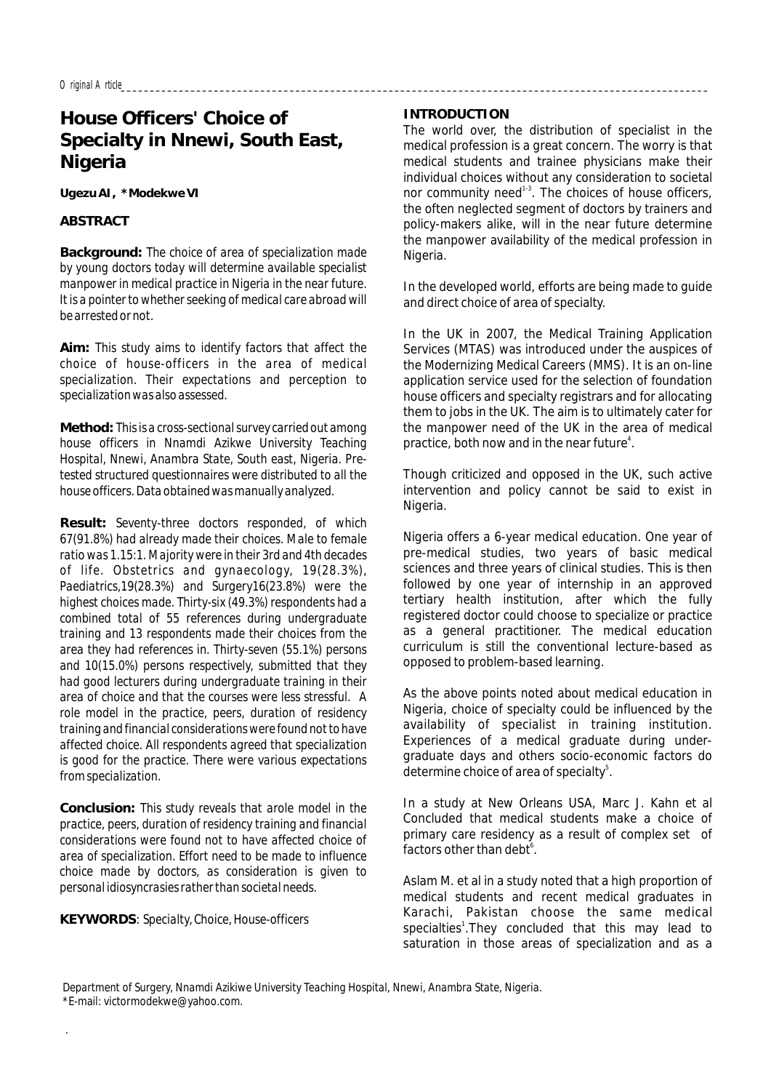# **House Officers' Choice of Specialty in Nnewi, South East, Nigeria**

**Ugezu AI, \*Modekwe VI**

**ABSTRACT**

**Background:** *The choice of area of specialization made by young doctors today will determine available specialist manpower in medical practice in Nigeria in the near future. It is a pointer to whether seeking of medical care abroad will be arrested or not.*

**Aim:** *This study aims to identify factors that affect the choice of house-officers in the area of medical specialization. Their expectations and perception to specialization was also assessed.*

**Method:** *This is a cross-sectional survey carried out among house officers in Nnamdi Azikwe University Teaching Hospital, Nnewi, Anambra State, South east, Nigeria. Pretested structured questionnaires were distributed to all the house officers. Data obtained was manually analyzed.*

**Result:** *Seventy-three doctors responded, of which 67(91.8%) had already made their choices. Male to female ratio was 1.15:1. Majority were in their 3rd and 4th decades of life. Obstetrics and gynaecology, 19(28.3%), Paediatrics,19(28.3%) and Surgery16(23.8%) were the highest choices made. Thirty-six (49.3%) respondents had a combined total of 55 references during undergraduate training and 13 respondents made their choices from the area they had references in. Thirty-seven (55.1%) persons and 10(15.0%) persons respectively, submitted that they had good lecturers during undergraduate training in their area of choice and that the courses were less stressful. A role model in the practice, peers, duration of residency training and financial considerations were found not to have affected choice. All respondents agreed that specialization is good for the practice. There were various expectations from specialization.*

**Conclusion:** *This study reveals that arole model in the practice, peers, duration of residency training and financial considerations were found not to have affected choice of area of specialization. Effort need to be made to influence choice made by doctors, as consideration is given to personal idiosyncrasies rather than societal needs.*

**KEYWORDS**: *Specialty, Choice, House-officers*

.

### **INTRODUCTION**

The world over, the distribution of specialist in the medical profession is a great concern. The worry is that medical students and trainee physicians make their individual choices without any consideration to societal nor community need<sup>1-3</sup>. The choices of house officers. the often neglected segment of doctors by trainers and policy-makers alike, will in the near future determine the manpower availability of the medical profession in Nigeria.

In the developed world, efforts are being made to guide and direct choice of area of specialty.

In the UK in 2007, the Medical Training Application Services (MTAS) was introduced under the auspices of the Modernizing Medical Careers (MMS). It is an on-line application service used for the selection of foundation house officers and specialty registrars and for allocating them to jobs in the UK. The aim is to ultimately cater for the manpower need of the UK in the area of medical practice, both now and in the near future $4$ .

Though criticized and opposed in the UK, such active intervention and policy cannot be said to exist in Nigeria.

Nigeria offers a 6-year medical education. One year of pre-medical studies, two years of basic medical sciences and three years of clinical studies. This is then followed by one year of internship in an approved tertiary health institution, after which the fully registered doctor could choose to specialize or practice as a general practitioner. The medical education curriculum is still the conventional lecture-based as opposed to problem-based learning.

As the above points noted about medical education in Nigeria, choice of specialty could be influenced by the availability of specialist in training institution. Experiences of a medical graduate during undergraduate days and others socio-economic factors do determine choice of area of specialty<sup>5</sup>.

In a study at New Orleans USA, Marc J. Kahn et al Concluded that medical students make a choice of primary care residency as a result of complex set of factors other than debt<sup>6</sup>.

Aslam M. et al in a study noted that a high proportion of medical students and recent medical graduates in Karachi, Pakistan choose the same medical specialties<sup>1</sup>. They concluded that this may lead to saturation in those areas of specialization and as a

*Department of Surgery, Nnamdi Azikiwe University Teaching Hospital, Nnewi, Anambra State, Nigeria. \**E-mail: victormodekwe@yahoo.com.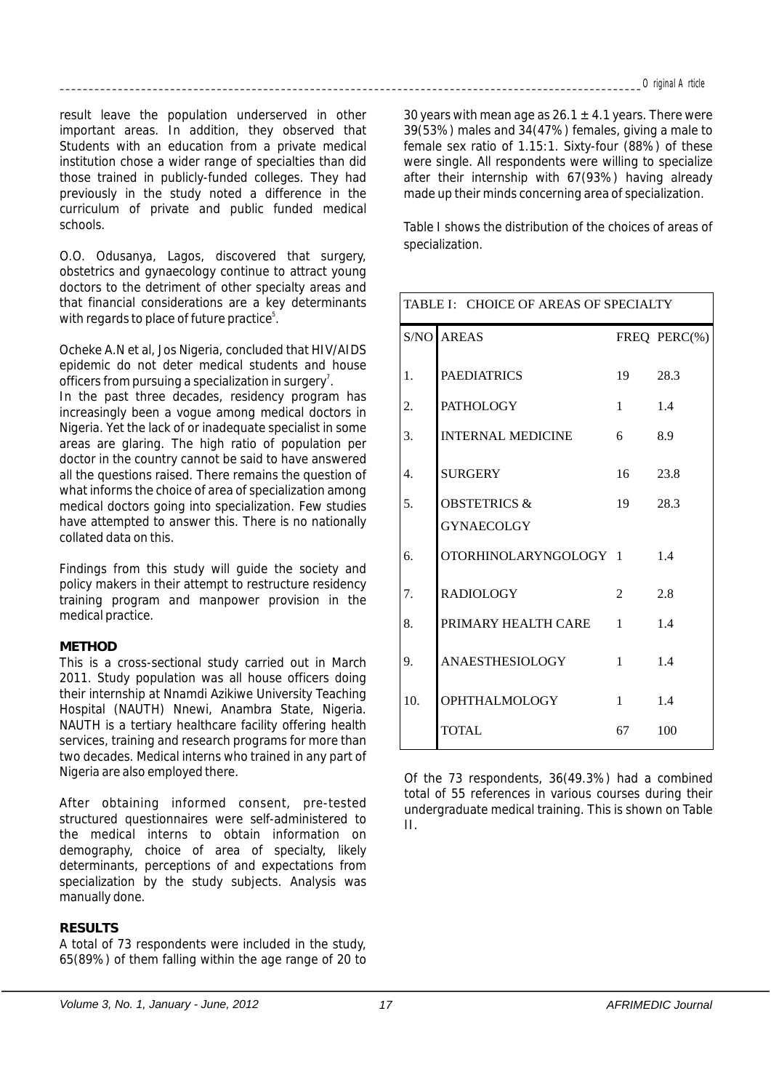result leave the population underserved in other important areas. In addition, they observed that Students with an education from a private medical institution chose a wider range of specialties than did those trained in publicly-funded colleges. They had previously in the study noted a difference in the curriculum of private and public funded medical schools.

O.O. Odusanya, Lagos, discovered that surgery, obstetrics and gynaecology continue to attract young doctors to the detriment of other specialty areas and that financial considerations are a key determinants with regards to place of future practice<sup>5</sup>.

Ocheke A.N et al, Jos Nigeria, concluded that HIV/AIDS epidemic do not deter medical students and house officers from pursuing a specialization in surgery<sup>7</sup>.

In the past three decades, residency program has increasingly been a vogue among medical doctors in Nigeria. Yet the lack of or inadequate specialist in some areas are glaring. The high ratio of population per doctor in the country cannot be said to have answered all the questions raised. There remains the question of what informs the choice of area of specialization among medical doctors going into specialization. Few studies have attempted to answer this. There is no nationally collated data on this.

Findings from this study will guide the society and policy makers in their attempt to restructure residency training program and manpower provision in the medical practice.

#### **METHOD**

This is a cross-sectional study carried out in March 2011. Study population was all house officers doing their internship at Nnamdi Azikiwe University Teaching Hospital (NAUTH) Nnewi, Anambra State, Nigeria. NAUTH is a tertiary healthcare facility offering health services, training and research programs for more than two decades. Medical interns who trained in any part of Nigeria are also employed there.

After obtaining informed consent, pre-tested structured questionnaires were self-administered to the medical interns to obtain information on demography, choice of area of specialty, likely determinants, perceptions of and expectations from specialization by the study subjects. Analysis was manually done.

## **RESULTS**

A total of 73 respondents were included in the study, 65(89%) of them falling within the age range of 20 to 30 years with mean age as  $26.1 \pm 4.1$  years. There were 39(53%) males and 34(47%) females, giving a male to female sex ratio of 1.15:1. Sixty-four (88%) of these were single. All respondents were willing to specialize after their internship with 67(93%) having already made up their minds concerning area of specialization.

Table I shows the distribution of the choices of areas of specialization.

| TABLE I: CHOICE OF AREAS OF SPECIALTY |                          |                  |              |  |
|---------------------------------------|--------------------------|------------------|--------------|--|
|                                       | <b>S/NO AREAS</b>        |                  | FREQ PERC(%) |  |
| 1.                                    | <b>PAEDIATRICS</b>       | 19               | 28.3         |  |
| 2.                                    | <b>PATHOLOGY</b>         | $1 \quad \cdots$ | 1.4          |  |
| 3.                                    | <b>INTERNAL MEDICINE</b> | 6                | 8.9          |  |
| $\overline{4}$ .                      | <b>SURGERY</b>           | $16 \quad$       | 23.8         |  |
| 5.                                    | <b>OBSTETRICS &amp;</b>  | 19               | 28.3         |  |
|                                       | <b>GYNAECOLGY</b>        |                  |              |  |
| б.                                    | OTORHINOLARYNGOLOGY 1    |                  | 1.4          |  |
| 7.                                    | <b>RADIOLOGY</b>         | 2                | 2.8          |  |
| 8.                                    | PRIMARY HEALTH CARE 1    |                  | 1.4          |  |
| 9.                                    | ANAESTHESIOLOGY          | $\mathbf{1}$     | 1.4          |  |
| 10.                                   | <b>OPHTHALMOLOGY</b>     | $\mathbf{1}$     | 1.4          |  |
|                                       | <b>TOTAL</b>             | 67 —             | 100          |  |

Of the 73 respondents, 36(49.3%) had a combined total of 55 references in various courses during their undergraduate medical training. This is shown on Table II.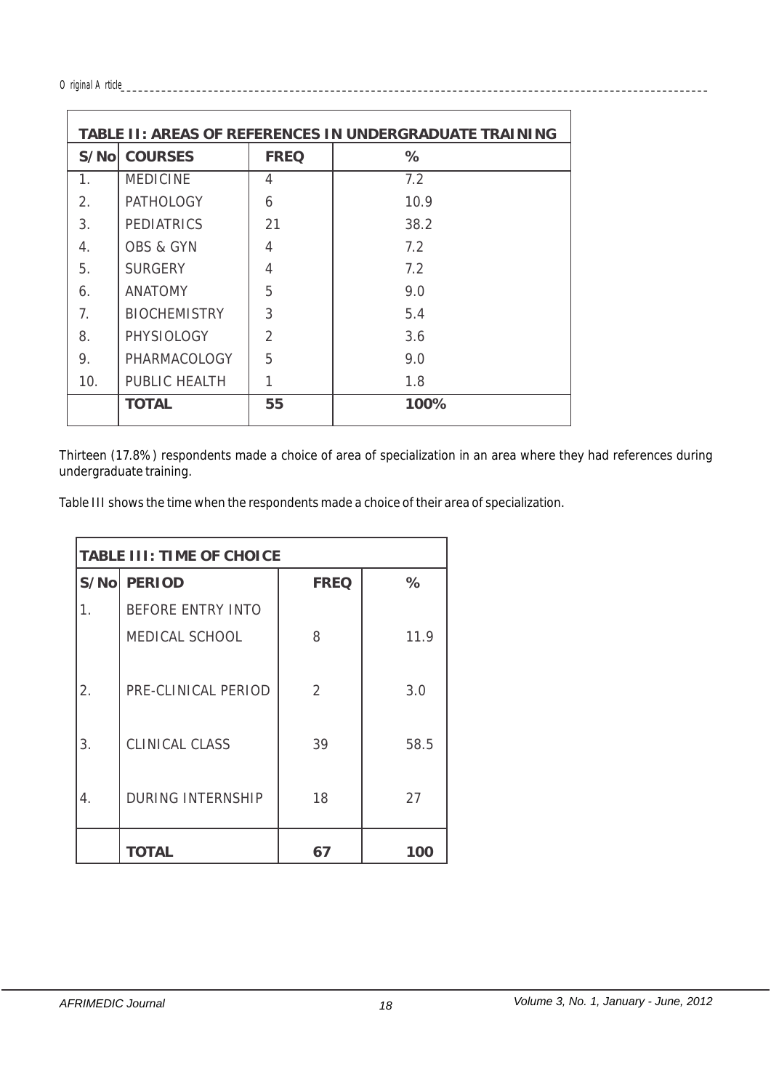#### *Original Article\_\_\_\_\_\_\_\_\_\_\_\_\_\_\_\_\_\_\_\_\_\_\_\_\_\_\_\_\_\_\_\_\_\_\_\_\_\_\_\_\_\_\_\_\_\_\_\_\_\_\_\_\_\_\_\_\_\_\_\_\_\_\_\_\_\_\_\_\_\_\_\_\_\_\_\_\_\_\_\_\_\_\_\_\_\_\_\_\_\_\_\_\_\_\_\_\_\_\_\_\_*

| TABLE II: AREAS OF REFERENCES IN UNDERGRADUATE TRAINING |                      |                |      |  |  |
|---------------------------------------------------------|----------------------|----------------|------|--|--|
| S/Nol                                                   | <b>COURSES</b>       | <b>FREQ</b>    | %    |  |  |
| 1.                                                      | <b>MEDICINE</b>      | 4              | 7.2  |  |  |
| 2.                                                      | <b>PATHOLOGY</b>     | 6              | 10.9 |  |  |
| 3.                                                      | <b>PEDIATRICS</b>    | 21             | 38.2 |  |  |
| 4.                                                      | <b>OBS &amp; GYN</b> | 4              | 7.2  |  |  |
| 5.                                                      | <b>SURGERY</b>       | 4              | 7.2  |  |  |
| 6.                                                      | <b>ANATOMY</b>       | 5              | 9.0  |  |  |
| 7.                                                      | <b>BIOCHEMISTRY</b>  | 3              | 5.4  |  |  |
| 8.                                                      | <b>PHYSIOLOGY</b>    | $\overline{2}$ | 3.6  |  |  |
| 9.                                                      | PHARMACOLOGY         | 5              | 9.0  |  |  |
| 10.                                                     | PUBLIC HEALTH        |                | 1.8  |  |  |
|                                                         | TOTAL                | 55             | 100% |  |  |

Thirteen (17.8%) respondents made a choice of area of specialization in an area where they had references during undergraduate training.

Table III shows the time when the respondents made a choice of their area of specialization.

| TABLE III: TIME OF CHOICE |                          |             |      |  |
|---------------------------|--------------------------|-------------|------|--|
|                           | S/No PERIOD              | <b>FREQ</b> | %    |  |
|                           | <b>BEFORE ENTRY INTO</b> |             |      |  |
|                           | MEDICAL SCHOOL           | 8           | 11.9 |  |
|                           |                          |             |      |  |
| 2.                        | PRE-CLINICAL PERIOD      | 2           | 3.0  |  |
|                           |                          |             |      |  |
| 3.                        | <b>CLINICAL CLASS</b>    | 39          | 58.5 |  |
|                           |                          |             |      |  |
| 4.                        | <b>DURING INTERNSHIP</b> | 18          | 27   |  |
|                           |                          |             |      |  |
|                           | <b>TOTAL</b>             | 67          | 100  |  |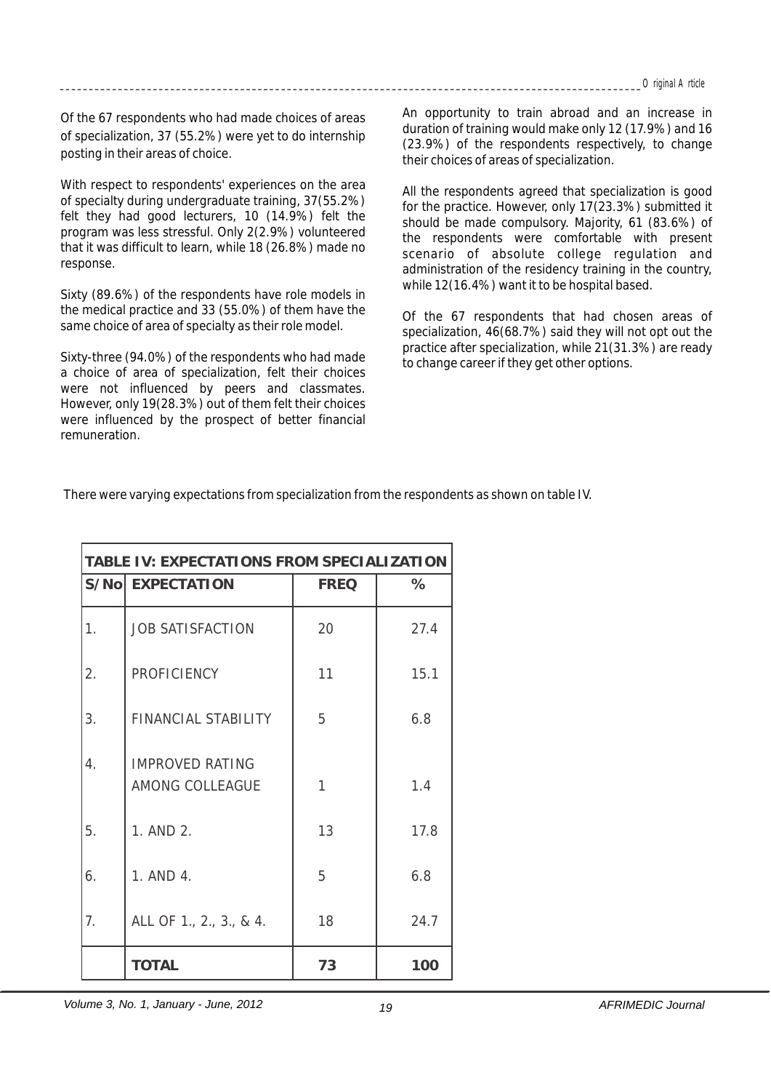Of the 67 respondents who had made choices of areas of specialization, 37 (55.2%) were yet to do internship posting in their areas of choice.

With respect to respondents' experiences on the area of specialty during undergraduate training, 37(55.2%) felt they had good lecturers, 10 (14.9%) felt the program was less stressful. Only 2(2.9%) volunteered that it was difficult to learn, while 18 (26.8%) made no response.

Sixty (89.6%) of the respondents have role models in the medical practice and 33 (55.0%) of them have the same choice of area of specialty as their role model.

Sixty-three (94.0%) of the respondents who had made a choice of area of specialization, felt their choices were not influenced by peers and classmates. However, only 19(28.3%) out of them felt their choices were influenced by the prospect of better financial remuneration.

An opportunity to train abroad and an increase in duration of training would make only 12 (17.9%) and 16 (23.9%) of the respondents respectively, to change their choices of areas of specialization.

All the respondents agreed that specialization is good for the practice. However, only 17(23.3%) submitted it should be made compulsory. Majority, 61 (83.6%) of the respondents were comfortable with present scenario of absolute college regulation and administration of the residency training in the country, while 12(16.4%) want it to be hospital based.

Of the 67 respondents that had chosen areas of specialization, 46(68.7%) said they will not opt out the practice after specialization, while 21(31.3%) are ready to change career if they get other options.

There were varying expectations from specialization from the respondents as shown on table IV.

| TABLE IV: EXPECTATIONS FROM SPECIALIZATION |                                           |             |      |  |
|--------------------------------------------|-------------------------------------------|-------------|------|--|
|                                            | S/No EXPECTATION                          | <b>FREQ</b> | $\%$ |  |
| 1.                                         | <b>JOB SATISFACTION</b>                   | 20          | 27.4 |  |
| 2.                                         | <b>PROFICIENCY</b>                        | 11          | 15.1 |  |
| 3.                                         | FINANCIAL STABILITY                       | 5           | 6.8  |  |
| 4.                                         | <b>IMPROVED RATING</b><br>AMONG COLLEAGUE | 1           | 1.4  |  |
| 5.                                         | 1. AND 2.                                 | 13          | 17.8 |  |
| 6.                                         | 1. AND 4.                                 | 5           | 6.8  |  |
| 7.                                         | ALL OF 1., 2., 3., & 4.                   | 18          | 24.7 |  |
|                                            | <b>TOTAL</b>                              | 73          | 100  |  |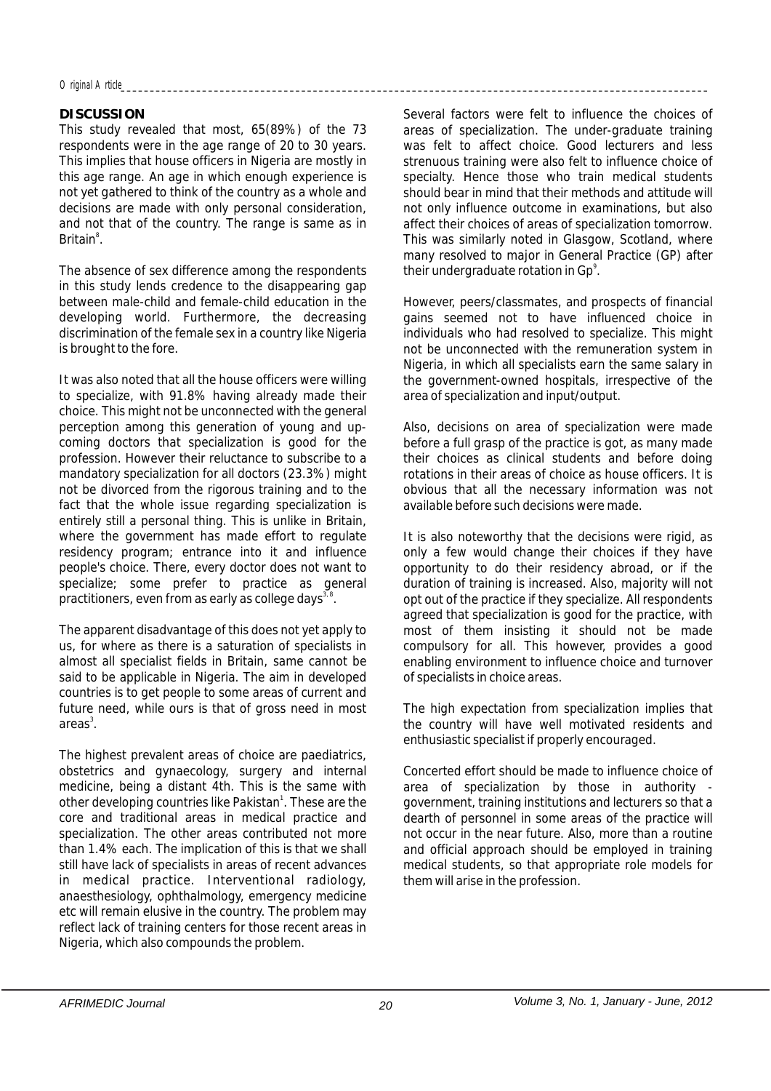#### *Original Article\_\_\_\_\_\_\_\_\_\_\_\_\_\_\_\_\_\_\_\_\_\_\_\_\_\_\_\_\_\_\_\_\_\_\_\_\_\_\_\_\_\_\_\_\_\_\_\_\_\_\_\_\_\_\_\_\_\_\_\_\_\_\_\_\_\_\_\_\_\_\_\_\_\_\_\_\_\_\_\_\_\_\_\_\_\_\_\_\_\_\_\_\_\_\_\_\_\_\_\_\_*

#### **DISCUSSION**

This study revealed that most, 65(89%) of the 73 respondents were in the age range of 20 to 30 years. This implies that house officers in Nigeria are mostly in this age range. An age in which enough experience is not yet gathered to think of the country as a whole and decisions are made with only personal consideration, and not that of the country. The range is same as in Britain<sup>8</sup>.

The absence of sex difference among the respondents in this study lends credence to the disappearing gap between male-child and female-child education in the developing world. Furthermore, the decreasing discrimination of the female sex in a country like Nigeria is brought to the fore.

It was also noted that all the house officers were willing to specialize, with 91.8% having already made their choice. This might not be unconnected with the general perception among this generation of young and upcoming doctors that specialization is good for the profession. However their reluctance to subscribe to a mandatory specialization for all doctors (23.3%) might not be divorced from the rigorous training and to the fact that the whole issue regarding specialization is entirely still a personal thing. This is unlike in Britain, where the government has made effort to regulate residency program; entrance into it and influence people's choice. There, every doctor does not want to specialize; some prefer to practice as general practitioners, even from as early as college days<sup>3,8</sup>.

The apparent disadvantage of this does not yet apply to us, for where as there is a saturation of specialists in almost all specialist fields in Britain, same cannot be said to be applicable in Nigeria. The aim in developed countries is to get people to some areas of current and future need, while ours is that of gross need in most areas<sup>3</sup>.

The highest prevalent areas of choice are paediatrics, obstetrics and gynaecology, surgery and internal medicine, being a distant 4th. This is the same with other developing countries like Pakistan<sup>1</sup>. These are the core and traditional areas in medical practice and specialization. The other areas contributed not more than 1.4% each. The implication of this is that we shall still have lack of specialists in areas of recent advances in medical practice. Interventional radiology, anaesthesiology, ophthalmology, emergency medicine etc will remain elusive in the country. The problem may reflect lack of training centers for those recent areas in Nigeria, which also compounds the problem.

Several factors were felt to influence the choices of areas of specialization. The under-graduate training was felt to affect choice. Good lecturers and less strenuous training were also felt to influence choice of specialty. Hence those who train medical students should bear in mind that their methods and attitude will not only influence outcome in examinations, but also affect their choices of areas of specialization tomorrow. This was similarly noted in Glasgow, Scotland, where many resolved to major in General Practice (GP) after their undergraduate rotation in Gp<sup>9</sup>.

However, peers/classmates, and prospects of financial gains seemed not to have influenced choice in individuals who had resolved to specialize. This might not be unconnected with the remuneration system in Nigeria, in which all specialists earn the same salary in the government-owned hospitals, irrespective of the area of specialization and input/output.

Also, decisions on area of specialization were made before a full grasp of the practice is got, as many made their choices as clinical students and before doing rotations in their areas of choice as house officers. It is obvious that all the necessary information was not available before such decisions were made.

It is also noteworthy that the decisions were rigid, as only a few would change their choices if they have opportunity to do their residency abroad, or if the duration of training is increased. Also, majority will not opt out of the practice if they specialize. All respondents agreed that specialization is good for the practice, with most of them insisting it should not be made compulsory for all. This however, provides a good enabling environment to influence choice and turnover of specialists in choice areas.

The high expectation from specialization implies that the country will have well motivated residents and enthusiastic specialist if properly encouraged.

Concerted effort should be made to influence choice of area of specialization by those in authority government, training institutions and lecturers so that a dearth of personnel in some areas of the practice will not occur in the near future. Also, more than a routine and official approach should be employed in training medical students, so that appropriate role models for them will arise in the profession.